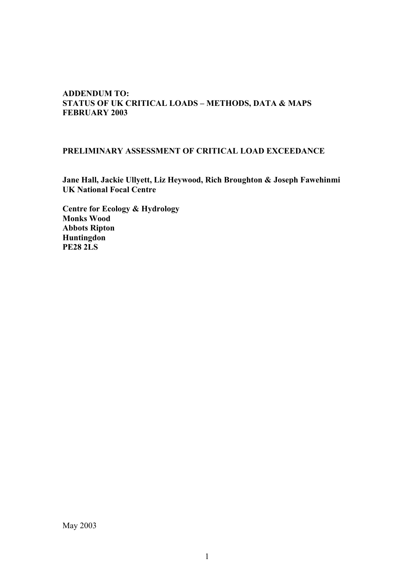#### **ADDENDUM TO: STATUS OF UK CRITICAL LOADS – METHODS, DATA & MAPS FEBRUARY 2003**

#### **PRELIMINARY ASSESSMENT OF CRITICAL LOAD EXCEEDANCE**

**Jane Hall, Jackie Ullyett, Liz Heywood, Rich Broughton & Joseph Fawehinmi UK National Focal Centre** 

**Centre for Ecology & Hydrology Monks Wood Abbots Ripton Huntingdon PE28 2LS**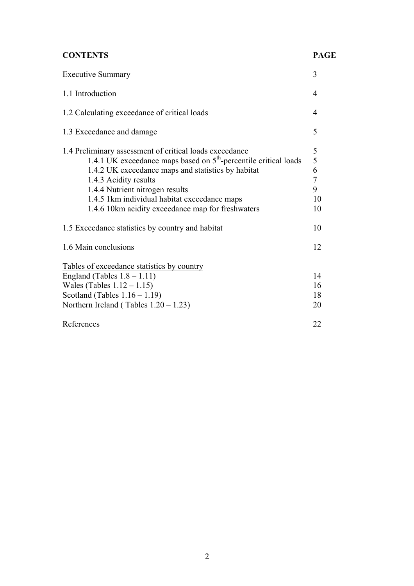# **CONTENTS PAGE**

| <b>Executive Summary</b>                                                                                                                                                                                                                                                                                                                              | 3                                                     |
|-------------------------------------------------------------------------------------------------------------------------------------------------------------------------------------------------------------------------------------------------------------------------------------------------------------------------------------------------------|-------------------------------------------------------|
| 1.1 Introduction                                                                                                                                                                                                                                                                                                                                      | 4                                                     |
| 1.2 Calculating exceedance of critical loads                                                                                                                                                                                                                                                                                                          | 4                                                     |
| 1.3 Exceedance and damage                                                                                                                                                                                                                                                                                                                             | 5                                                     |
| 1.4 Preliminary assessment of critical loads exceedance<br>1.4.1 UK exceedance maps based on $5th$ -percentile critical loads<br>1.4.2 UK exceedance maps and statistics by habitat<br>1.4.3 Acidity results<br>1.4.4 Nutrient nitrogen results<br>1.4.5 1 km individual habitat exceedance maps<br>1.4.6 10km acidity exceedance map for freshwaters | $\frac{5}{5}$<br>6<br>$\overline{7}$<br>9<br>10<br>10 |
| 1.5 Exceedance statistics by country and habitat                                                                                                                                                                                                                                                                                                      | 10                                                    |
| 1.6 Main conclusions                                                                                                                                                                                                                                                                                                                                  | 12                                                    |
| Tables of exceedance statistics by country<br>England (Tables $1.8 - 1.11$ )<br>Wales (Tables $1.12 - 1.15$ )<br>Scotland (Tables $1.16 - 1.19$ )<br>Northern Ireland (Tables $1.20 - 1.23$ )                                                                                                                                                         | 14<br>16<br>18<br>20                                  |
| References                                                                                                                                                                                                                                                                                                                                            | 22                                                    |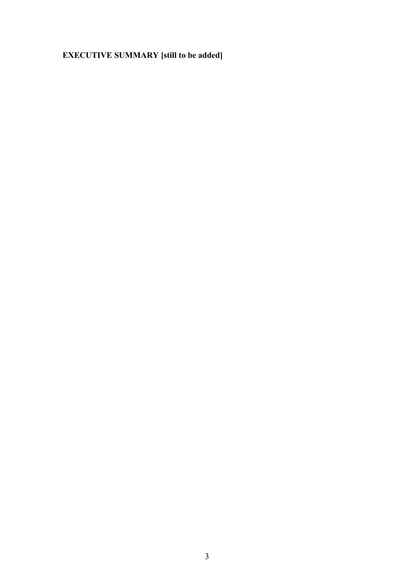# **EXECUTIVE SUMMARY [still to be added]**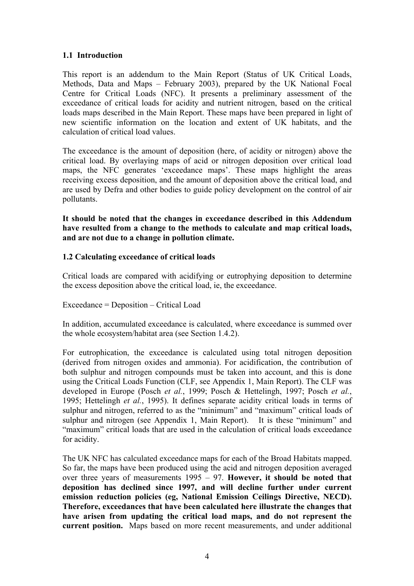#### **1.1 Introduction**

This report is an addendum to the Main Report (Status of UK Critical Loads, Methods, Data and Maps – February 2003), prepared by the UK National Focal Centre for Critical Loads (NFC). It presents a preliminary assessment of the exceedance of critical loads for acidity and nutrient nitrogen, based on the critical loads maps described in the Main Report. These maps have been prepared in light of new scientific information on the location and extent of UK habitats, and the calculation of critical load values.

The exceedance is the amount of deposition (here, of acidity or nitrogen) above the critical load. By overlaying maps of acid or nitrogen deposition over critical load maps, the NFC generates 'exceedance maps'. These maps highlight the areas receiving excess deposition, and the amount of deposition above the critical load, and are used by Defra and other bodies to guide policy development on the control of air pollutants.

**It should be noted that the changes in exceedance described in this Addendum have resulted from a change to the methods to calculate and map critical loads, and are not due to a change in pollution climate.** 

#### **1.2 Calculating exceedance of critical loads**

Critical loads are compared with acidifying or eutrophying deposition to determine the excess deposition above the critical load, ie, the exceedance.

#### Exceedance = Deposition – Critical Load

In addition, accumulated exceedance is calculated, where exceedance is summed over the whole ecosystem/habitat area (see Section 1.4.2).

For eutrophication, the exceedance is calculated using total nitrogen deposition (derived from nitrogen oxides and ammonia). For acidification, the contribution of both sulphur and nitrogen compounds must be taken into account, and this is done using the Critical Loads Function (CLF, see Appendix 1, Main Report). The CLF was developed in Europe (Posch *et al.*, 1999; Posch & Hettelingh, 1997; Posch *et al.*, 1995; Hettelingh *et al.*, 1995). It defines separate acidity critical loads in terms of sulphur and nitrogen, referred to as the "minimum" and "maximum" critical loads of sulphur and nitrogen (see Appendix 1, Main Report). It is these "minimum" and "maximum" critical loads that are used in the calculation of critical loads exceedance for acidity.

The UK NFC has calculated exceedance maps for each of the Broad Habitats mapped. So far, the maps have been produced using the acid and nitrogen deposition averaged over three years of measurements 1995 – 97. **However, it should be noted that deposition has declined since 1997, and will decline further under current emission reduction policies (eg, National Emission Ceilings Directive, NECD). Therefore, exceedances that have been calculated here illustrate the changes that have arisen from updating the critical load maps, and do not represent the current position.** Maps based on more recent measurements, and under additional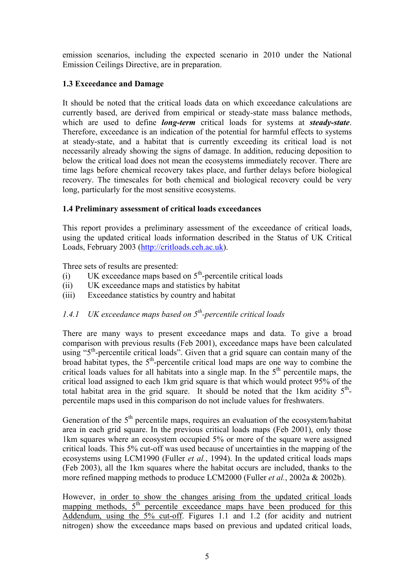emission scenarios, including the expected scenario in 2010 under the National Emission Ceilings Directive, are in preparation.

## **1.3 Exceedance and Damage**

It should be noted that the critical loads data on which exceedance calculations are currently based, are derived from empirical or steady-state mass balance methods, which are used to define *long-term* critical loads for systems at *steady-state*. Therefore, exceedance is an indication of the potential for harmful effects to systems at steady-state, and a habitat that is currently exceeding its critical load is not necessarily already showing the signs of damage. In addition, reducing deposition to below the critical load does not mean the ecosystems immediately recover. There are time lags before chemical recovery takes place, and further delays before biological recovery. The timescales for both chemical and biological recovery could be very long, particularly for the most sensitive ecosystems.

## **1.4 Preliminary assessment of critical loads exceedances**

This report provides a preliminary assessment of the exceedance of critical loads, using the updated critical loads information described in the Status of UK Critical Loads, February 2003 (http://critloads.ceh.ac.uk).

Three sets of results are presented:

- (i) UK exceedance maps based on  $5<sup>th</sup>$ -percentile critical loads
- (ii) UK exceedance maps and statistics by habitat
- (iii) Exceedance statistics by country and habitat

# *1.4.1 UK exceedance maps based on 5th-percentile critical loads*

There are many ways to present exceedance maps and data. To give a broad comparison with previous results (Feb 2001), exceedance maps have been calculated using "5<sup>th</sup>-percentile critical loads". Given that a grid square can contain many of the broad habitat types, the  $5<sup>th</sup>$ -percentile critical load maps are one way to combine the critical loads values for all habitats into a single map. In the  $5<sup>th</sup>$  percentile maps, the critical load assigned to each 1km grid square is that which would protect 95% of the total habitat area in the grid square. It should be noted that the 1km acidity  $5<sup>th</sup>$ percentile maps used in this comparison do not include values for freshwaters.

Generation of the  $5<sup>th</sup>$  percentile maps, requires an evaluation of the ecosystem/habitat area in each grid square. In the previous critical loads maps (Feb 2001), only those 1km squares where an ecosystem occupied 5% or more of the square were assigned critical loads. This 5% cut-off was used because of uncertainties in the mapping of the ecosystems using LCM1990 (Fuller *et al.*, 1994). In the updated critical loads maps (Feb 2003), all the 1km squares where the habitat occurs are included, thanks to the more refined mapping methods to produce LCM2000 (Fuller *et al.*, 2002a & 2002b).

However, in order to show the changes arising from the updated critical loads mapping methods,  $5<sup>th</sup>$  percentile exceedance maps have been produced for this Addendum, using the 5% cut-off. Figures 1.1 and 1.2 (for acidity and nutrient nitrogen) show the exceedance maps based on previous and updated critical loads,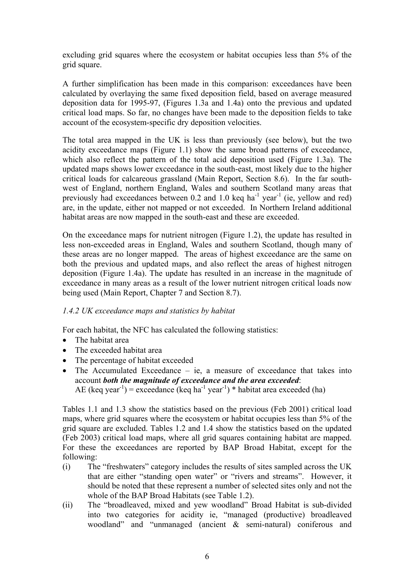excluding grid squares where the ecosystem or habitat occupies less than 5% of the grid square.

A further simplification has been made in this comparison: exceedances have been calculated by overlaying the same fixed deposition field, based on average measured deposition data for 1995-97, (Figures 1.3a and 1.4a) onto the previous and updated critical load maps. So far, no changes have been made to the deposition fields to take account of the ecosystem-specific dry deposition velocities.

The total area mapped in the UK is less than previously (see below), but the two acidity exceedance maps (Figure 1.1) show the same broad patterns of exceedance, which also reflect the pattern of the total acid deposition used (Figure 1.3a). The updated maps shows lower exceedance in the south-east, most likely due to the higher critical loads for calcareous grassland (Main Report, Section 8.6). In the far southwest of England, northern England, Wales and southern Scotland many areas that previously had exceedances between 0.2 and 1.0 keq ha<sup>-1</sup> year<sup>-1</sup> (ie, yellow and red) are, in the update, either not mapped or not exceeded. In Northern Ireland additional habitat areas are now mapped in the south-east and these are exceeded.

On the exceedance maps for nutrient nitrogen (Figure 1.2), the update has resulted in less non-exceeded areas in England, Wales and southern Scotland, though many of these areas are no longer mapped. The areas of highest exceedance are the same on both the previous and updated maps, and also reflect the areas of highest nitrogen deposition (Figure 1.4a). The update has resulted in an increase in the magnitude of exceedance in many areas as a result of the lower nutrient nitrogen critical loads now being used (Main Report, Chapter 7 and Section 8.7).

#### *1.4.2 UK exceedance maps and statistics by habitat*

For each habitat, the NFC has calculated the following statistics:

- The habitat area
- The exceeded habitat area
- The percentage of habitat exceeded
- The Accumulated Exceedance ie, a measure of exceedance that takes into account *both the magnitude of exceedance and the area exceeded*: AE (keq year<sup>-1</sup>) = exceedance (keq ha<sup>-1</sup> year<sup>-1</sup>) \* habitat area exceeded (ha)

Tables 1.1 and 1.3 show the statistics based on the previous (Feb 2001) critical load maps, where grid squares where the ecosystem or habitat occupies less than 5% of the grid square are excluded. Tables 1.2 and 1.4 show the statistics based on the updated (Feb 2003) critical load maps, where all grid squares containing habitat are mapped. For these the exceedances are reported by BAP Broad Habitat, except for the following:

- (i) The "freshwaters" category includes the results of sites sampled across the UK that are either "standing open water" or "rivers and streams". However, it should be noted that these represent a number of selected sites only and not the whole of the BAP Broad Habitats (see Table 1.2).
- (ii) The "broadleaved, mixed and yew woodland" Broad Habitat is sub-divided into two categories for acidity ie, "managed (productive) broadleaved woodland" and "unmanaged (ancient & semi-natural) coniferous and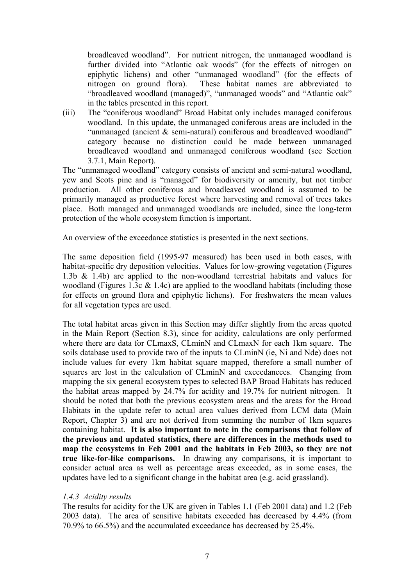broadleaved woodland". For nutrient nitrogen, the unmanaged woodland is further divided into "Atlantic oak woods" (for the effects of nitrogen on epiphytic lichens) and other "unmanaged woodland" (for the effects of nitrogen on ground flora). These habitat names are abbreviated to "broadleaved woodland (managed)", "unmanaged woods" and "Atlantic oak" in the tables presented in this report.

(iii) The "coniferous woodland" Broad Habitat only includes managed coniferous woodland. In this update, the unmanaged coniferous areas are included in the "unmanaged (ancient & semi-natural) coniferous and broadleaved woodland" category because no distinction could be made between unmanaged broadleaved woodland and unmanaged coniferous woodland (see Section 3.7.1, Main Report).

The "unmanaged woodland" category consists of ancient and semi-natural woodland, yew and Scots pine and is "managed" for biodiversity or amenity, but not timber production. All other coniferous and broadleaved woodland is assumed to be primarily managed as productive forest where harvesting and removal of trees takes place. Both managed and unmanaged woodlands are included, since the long-term protection of the whole ecosystem function is important.

An overview of the exceedance statistics is presented in the next sections.

The same deposition field (1995-97 measured) has been used in both cases, with habitat-specific dry deposition velocities. Values for low-growing vegetation (Figures 1.3b & 1.4b) are applied to the non-woodland terrestrial habitats and values for woodland (Figures 1.3c & 1.4c) are applied to the woodland habitats (including those for effects on ground flora and epiphytic lichens). For freshwaters the mean values for all vegetation types are used.

The total habitat areas given in this Section may differ slightly from the areas quoted in the Main Report (Section 8.3), since for acidity, calculations are only performed where there are data for CLmaxS, CLminN and CLmaxN for each 1km square. The soils database used to provide two of the inputs to CLminN (ie, Ni and Nde) does not include values for every 1km habitat square mapped, therefore a small number of squares are lost in the calculation of CLminN and exceedances. Changing from mapping the six general ecosystem types to selected BAP Broad Habitats has reduced the habitat areas mapped by 24.7% for acidity and 19.7% for nutrient nitrogen. It should be noted that both the previous ecosystem areas and the areas for the Broad Habitats in the update refer to actual area values derived from LCM data (Main Report, Chapter 3) and are not derived from summing the number of 1km squares containing habitat. **It is also important to note in the comparisons that follow of the previous and updated statistics, there are differences in the methods used to map the ecosystems in Feb 2001 and the habitats in Feb 2003, so they are not true like-for-like comparisons.** In drawing any comparisons, it is important to consider actual area as well as percentage areas exceeded, as in some cases, the updates have led to a significant change in the habitat area (e.g. acid grassland).

### *1.4.3 Acidity results*

The results for acidity for the UK are given in Tables 1.1 (Feb 2001 data) and 1.2 (Feb 2003 data). The area of sensitive habitats exceeded has decreased by 4.4% (from 70.9% to 66.5%) and the accumulated exceedance has decreased by 25.4%.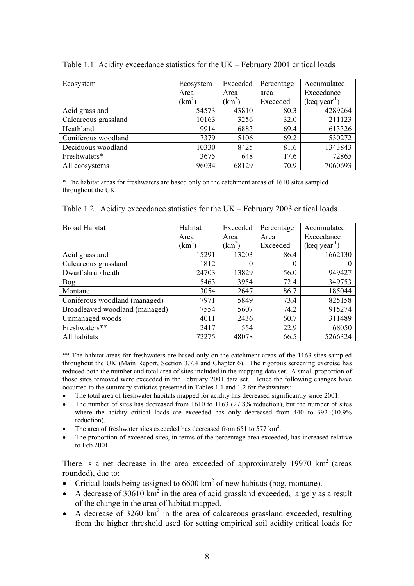| Ecosystem            | Ecosystem  | Exceeded           | Percentage | Accumulated    |
|----------------------|------------|--------------------|------------|----------------|
|                      | Area       | Area               | area       | Exceedance     |
|                      | $\rm km^2$ | (km <sup>2</sup> ) | Exceeded   | $(keq year-1)$ |
| Acid grassland       | 54573      | 43810              | 80.3       | 4289264        |
| Calcareous grassland | 10163      | 3256               | 32.0       | 211123         |
| Heathland            | 9914       | 6883               | 69.4       | 613326         |
| Coniferous woodland  | 7379       | 5106               | 69.2       | 530272         |
| Deciduous woodland   | 10330      | 8425               | 81.6       | 1343843        |
| Freshwaters*         | 3675       | 648                | 17.6       | 72865          |
| All ecosystems       | 96034      | 68129              | 70.9       | 7060693        |

Table 1.1 Acidity exceedance statistics for the UK – February 2001 critical loads

\* The habitat areas for freshwaters are based only on the catchment areas of 1610 sites sampled throughout the UK.

Table 1.2. Acidity exceedance statistics for the UK – February 2003 critical loads

| <b>Broad Habitat</b>           | Habitat      | Exceeded | Percentage | Accumulated    |
|--------------------------------|--------------|----------|------------|----------------|
|                                | Area         | Area     | Area       | Exceedance     |
|                                | $\rm km^2$ ) | $(km^2)$ | Exceeded   | $(keq year-1)$ |
| Acid grassland                 | 15291        | 13203    | 86.4       | 1662130        |
| Calcareous grassland           | 1812         | 0        | $\theta$   |                |
| Dwarf shrub heath              | 24703        | 13829    | 56.0       | 949427         |
| Bog                            | 5463         | 3954     | 72.4       | 349753         |
| Montane                        | 3054         | 2647     | 86.7       | 185044         |
| Coniferous woodland (managed)  | 7971         | 5849     | 73.4       | 825158         |
| Broadleaved woodland (managed) | 7554         | 5607     | 74.2       | 915274         |
| Unmanaged woods                | 4011         | 2436     | 60.7       | 311489         |
| Freshwaters**                  | 2417         | 554      | 22.9       | 68050          |
| All habitats                   | 72275        | 48078    | 66.5       | 5266324        |

\*\* The habitat areas for freshwaters are based only on the catchment areas of the 1163 sites sampled throughout the UK (Main Report, Section 3.7.4 and Chapter 6). The rigorous screening exercise has reduced both the number and total area of sites included in the mapping data set. A small proportion of those sites removed were exceeded in the February 2001 data set. Hence the following changes have occurred to the summary statistics presented in Tables 1.1 and 1.2 for freshwaters:

- The total area of freshwater habitats mapped for acidity has decreased significantly since 2001.
- The number of sites has decreased from 1610 to 1163 (27.8% reduction), but the number of sites where the acidity critical loads are exceeded has only decreased from 440 to 392 (10.9% reduction).
- The area of freshwater sites exceeded has decreased from  $651$  to  $577 \text{ km}^2$ .
- The proportion of exceeded sites, in terms of the percentage area exceeded, has increased relative to Feb 2001.

There is a net decrease in the area exceeded of approximately  $19970 \text{ km}^2$  (areas rounded), due to:

- Critical loads being assigned to  $6600 \text{ km}^2$  of new habitats (bog, montane).
- A decrease of 30610  $km^2$  in the area of acid grassland exceeded, largely as a result of the change in the area of habitat mapped.
- $\bullet$  A decrease of 3260 km<sup>2</sup> in the area of calcareous grassland exceeded, resulting from the higher threshold used for setting empirical soil acidity critical loads for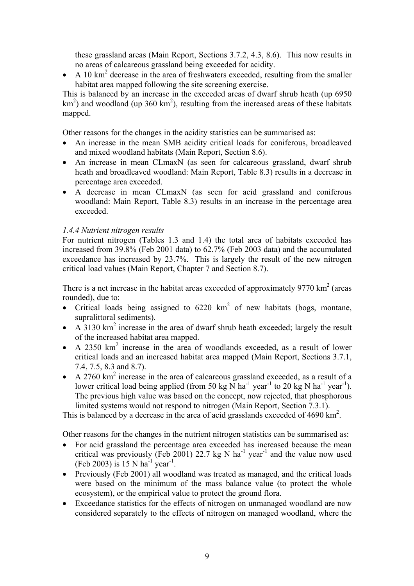these grassland areas (Main Report, Sections 3.7.2, 4.3, 8.6). This now results in no areas of calcareous grassland being exceeded for acidity.

• A 10  $\text{km}^2$  decrease in the area of freshwaters exceeded, resulting from the smaller habitat area mapped following the site screening exercise.

This is balanced by an increase in the exceeded areas of dwarf shrub heath (up 6950  $\text{km}^2$ ) and woodland (up 360 km<sup>2</sup>), resulting from the increased areas of these habitats mapped.

Other reasons for the changes in the acidity statistics can be summarised as:

- An increase in the mean SMB acidity critical loads for coniferous, broadleaved and mixed woodland habitats (Main Report, Section 8.6).
- An increase in mean CLmaxN (as seen for calcareous grassland, dwarf shrub heath and broadleaved woodland: Main Report, Table 8.3) results in a decrease in percentage area exceeded.
- A decrease in mean CLmaxN (as seen for acid grassland and coniferous woodland: Main Report, Table 8.3) results in an increase in the percentage area exceeded.

#### *1.4.4 Nutrient nitrogen results*

For nutrient nitrogen (Tables 1.3 and 1.4) the total area of habitats exceeded has increased from 39.8% (Feb 2001 data) to 62.7% (Feb 2003 data) and the accumulated exceedance has increased by 23.7%. This is largely the result of the new nitrogen critical load values (Main Report, Chapter 7 and Section 8.7).

There is a net increase in the habitat areas exceeded of approximately  $9770 \text{ km}^2$  (areas rounded), due to:

- Critical loads being assigned to  $6220 \text{ km}^2$  of new habitats (bogs, montane, supralittoral sediments).
- A 3130  $\text{km}^2$  increase in the area of dwarf shrub heath exceeded; largely the result of the increased habitat area mapped.
- A 2350  $km^2$  increase in the area of woodlands exceeded, as a result of lower critical loads and an increased habitat area mapped (Main Report, Sections 3.7.1, 7.4, 7.5, 8.3 and 8.7).
- A 2760  $\text{km}^2$  increase in the area of calcareous grassland exceeded, as a result of a lower critical load being applied (from 50 kg  $\overline{N}$  ha<sup>-1</sup> year<sup>-1</sup> to 20 kg  $\overline{N}$  ha<sup>-1</sup> year<sup>-1</sup>). The previous high value was based on the concept, now rejected, that phosphorous limited systems would not respond to nitrogen (Main Report, Section 7.3.1).

This is balanced by a decrease in the area of acid grasslands exceeded of 4690 km<sup>2</sup>.

Other reasons for the changes in the nutrient nitrogen statistics can be summarised as:

- For acid grassland the percentage area exceeded has increased because the mean critical was previously (Feb 2001) 22.7 kg N ha<sup>-1</sup> year<sup>-1</sup> and the value now used (Feb 2003) is 15 N ha<sup>-1</sup> year<sup>-1</sup>.
- Previously (Feb 2001) all woodland was treated as managed, and the critical loads were based on the minimum of the mass balance value (to protect the whole ecosystem), or the empirical value to protect the ground flora.
- Exceedance statistics for the effects of nitrogen on unmanaged woodland are now considered separately to the effects of nitrogen on managed woodland, where the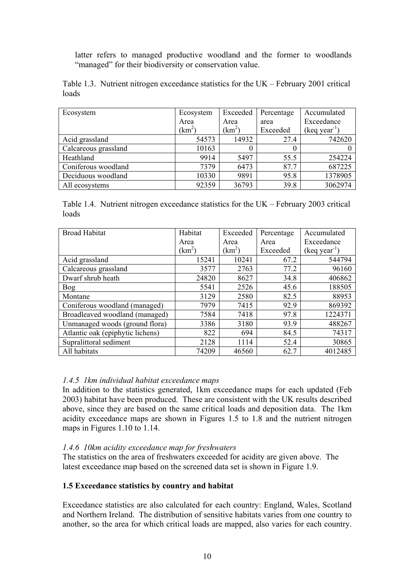latter refers to managed productive woodland and the former to woodlands "managed" for their biodiversity or conservation value.

|       | Table 1.3. Nutrient nitrogen exceedance statistics for the UK – February 2001 critical |  |  |  |  |
|-------|----------------------------------------------------------------------------------------|--|--|--|--|
| loads |                                                                                        |  |  |  |  |

| Ecosystem            | Ecosystem  | Exceeded     | Percentage | Accumulated    |
|----------------------|------------|--------------|------------|----------------|
|                      | Area       | Area         | area       | Exceedance     |
|                      | $\rm km^2$ | $\rm km^2$ ) | Exceeded   | $(keq year-1)$ |
| Acid grassland       | 54573      | 14932        | 27.4       | 742620         |
| Calcareous grassland | 10163      | 0            |            |                |
| Heathland            | 9914       | 5497         | 55.5       | 254224         |
| Coniferous woodland  | 7379       | 6473         | 87.7       | 687225         |
| Deciduous woodland   | 10330      | 9891         | 95.8       | 1378905        |
| All ecosystems       | 92359      | 36793        | 39.8       | 3062974        |

Table 1.4. Nutrient nitrogen exceedance statistics for the UK – February 2003 critical loads

| <b>Broad Habitat</b>             | Habitat            | Exceeded | Percentage | Accumulated    |
|----------------------------------|--------------------|----------|------------|----------------|
|                                  | Area               | Area     | Area       | Exceedance     |
|                                  | (km <sup>2</sup> ) | $(km^2)$ | Exceeded   | $(keq year-1)$ |
| Acid grassland                   | 15241              | 10241    | 67.2       | 544794         |
| Calcareous grassland             | 3577               | 2763     | 77.2       | 96160          |
| Dwarf shrub heath                | 24820              | 8627     | 34.8       | 406862         |
| <b>Bog</b>                       | 5541               | 2526     | 45.6       | 188505         |
| Montane                          | 3129               | 2580     | 82.5       | 88953          |
| Coniferous woodland (managed)    | 7979               | 7415     | 92.9       | 869392         |
| Broadleaved woodland (managed)   | 7584               | 7418     | 97.8       | 1224371        |
| Unmanaged woods (ground flora)   | 3386               | 3180     | 93.9       | 488267         |
| Atlantic oak (epiphytic lichens) | 822                | 694      | 84.5       | 74317          |
| Supralittoral sediment           | 2128               | 1114     | 52.4       | 30865          |
| All habitats                     | 74209              | 46560    | 62.7       | 4012485        |

#### *1.4.5 1km individual habitat exceedance maps*

In addition to the statistics generated, 1km exceedance maps for each updated (Feb 2003) habitat have been produced. These are consistent with the UK results described above, since they are based on the same critical loads and deposition data. The 1km acidity exceedance maps are shown in Figures 1.5 to 1.8 and the nutrient nitrogen maps in Figures 1.10 to 1.14.

#### *1.4.6 10km acidity exceedance map for freshwaters*

The statistics on the area of freshwaters exceeded for acidity are given above. The latest exceedance map based on the screened data set is shown in Figure 1.9.

#### **1.5 Exceedance statistics by country and habitat**

Exceedance statistics are also calculated for each country: England, Wales, Scotland and Northern Ireland. The distribution of sensitive habitats varies from one country to another, so the area for which critical loads are mapped, also varies for each country.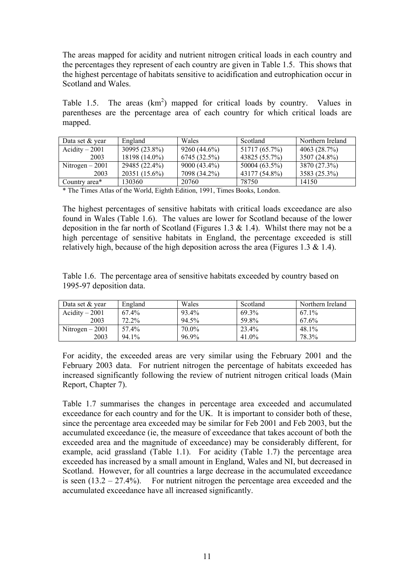The areas mapped for acidity and nutrient nitrogen critical loads in each country and the percentages they represent of each country are given in Table 1.5. This shows that the highest percentage of habitats sensitive to acidification and eutrophication occur in Scotland and Wales.

Table 1.5. The areas  $(km^2)$  mapped for critical loads by country. Values in parentheses are the percentage area of each country for which critical loads are mapped.

| Data set $&$ vear | England       | Wales          | Scotland      | Northern Ireland |
|-------------------|---------------|----------------|---------------|------------------|
| Acidity $-2001$   | 30995 (23.8%) | $9260(44.6\%)$ | 51717 (65.7%) | 4063 $(28.7%)$   |
| 2003              | 18198 (14.0%) | 6745 (32.5%)   | 43825 (55.7%) | 3507 (24.8%)     |
| Nitrogen $-2001$  | 29485 (22.4%) | $9000(43.4\%)$ | 50004 (63.5%) | 3870 (27.3%)     |
| 2003              | 20351 (15.6%) | 7098 (34.2%)   | 43177 (54.8%) | 3583 (25.3%)     |
| Country area*     | 130360        | 20760          | 78750         | 14150            |

\* The Times Atlas of the World, Eighth Edition, 1991, Times Books, London.

The highest percentages of sensitive habitats with critical loads exceedance are also found in Wales (Table 1.6). The values are lower for Scotland because of the lower deposition in the far north of Scotland (Figures 1.3  $\&$  1.4). Whilst there may not be a high percentage of sensitive habitats in England, the percentage exceeded is still relatively high, because of the high deposition across the area (Figures 1.3  $\&$  1.4).

Table 1.6. The percentage area of sensitive habitats exceeded by country based on 1995-97 deposition data.

| Data set & year  | England | Wales | Scotland | Northern Ireland |
|------------------|---------|-------|----------|------------------|
| Acidity $-2001$  | 67.4%   | 93.4% | 69.3%    | 67.1%            |
| 2003             | 72.2%   | 94.5% | 59.8%    | 67.6%            |
| Nitrogen $-2001$ | 57.4%   | 70.0% | 23.4%    | 48.1%            |
| 2003             | 94.1%   | 96.9% | 41.0%    | 78.3%            |

For acidity, the exceeded areas are very similar using the February 2001 and the February 2003 data. For nutrient nitrogen the percentage of habitats exceeded has increased significantly following the review of nutrient nitrogen critical loads (Main Report, Chapter 7).

Table 1.7 summarises the changes in percentage area exceeded and accumulated exceedance for each country and for the UK. It is important to consider both of these, since the percentage area exceeded may be similar for Feb 2001 and Feb 2003, but the accumulated exceedance (ie, the measure of exceedance that takes account of both the exceeded area and the magnitude of exceedance) may be considerably different, for example, acid grassland (Table 1.1). For acidity (Table 1.7) the percentage area exceeded has increased by a small amount in England, Wales and NI, but decreased in Scotland. However, for all countries a large decrease in the accumulated exceedance is seen  $(13.2 - 27.4\%)$ . For nutrient nitrogen the percentage area exceeded and the accumulated exceedance have all increased significantly.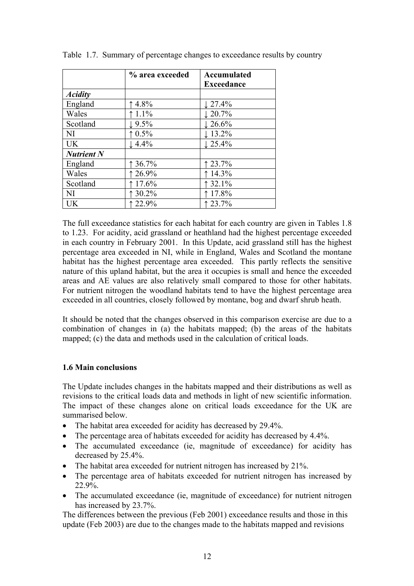|                   | % area exceeded   | Accumulated<br><b>Exceedance</b> |
|-------------------|-------------------|----------------------------------|
| <b>Acidity</b>    |                   |                                  |
| England           | 4.8%              | $\downarrow$ 27.4%               |
| Wales             | 1.1%              | $\downarrow$ 20.7%               |
| Scotland          | $\downarrow$ 9.5% | $\downarrow$ 26.6%               |
| NI                | 0.5%              | $\downarrow$ 13.2%               |
| UK                | $\downarrow$ 4.4% | $\downarrow$ 25.4%               |
| <b>Nutrient N</b> |                   |                                  |
| England           | 136.7%            | 123.7%                           |
| Wales             | 26.9%             | 14.3%                            |
| Scotland          | 17.6%             | 32.1%                            |
| NI                | 30.2%             | 17.8%                            |
| UK                | 22.9%             | 123.7%                           |

Table 1.7. Summary of percentage changes to exceedance results by country

The full exceedance statistics for each habitat for each country are given in Tables 1.8 to 1.23. For acidity, acid grassland or heathland had the highest percentage exceeded in each country in February 2001. In this Update, acid grassland still has the highest percentage area exceeded in NI, while in England, Wales and Scotland the montane habitat has the highest percentage area exceeded. This partly reflects the sensitive nature of this upland habitat, but the area it occupies is small and hence the exceeded areas and AE values are also relatively small compared to those for other habitats. For nutrient nitrogen the woodland habitats tend to have the highest percentage area exceeded in all countries, closely followed by montane, bog and dwarf shrub heath.

It should be noted that the changes observed in this comparison exercise are due to a combination of changes in (a) the habitats mapped; (b) the areas of the habitats mapped; (c) the data and methods used in the calculation of critical loads.

### **1.6 Main conclusions**

The Update includes changes in the habitats mapped and their distributions as well as revisions to the critical loads data and methods in light of new scientific information. The impact of these changes alone on critical loads exceedance for the UK are summarised below.

- The habitat area exceeded for acidity has decreased by 29.4%.
- The percentage area of habitats exceeded for acidity has decreased by 4.4%.
- The accumulated exceedance (ie, magnitude of exceedance) for acidity has decreased by 25.4%.
- The habitat area exceeded for nutrient nitrogen has increased by 21%.
- The percentage area of habitats exceeded for nutrient nitrogen has increased by 22.9%.
- The accumulated exceedance (ie, magnitude of exceedance) for nutrient nitrogen has increased by 23.7%.

The differences between the previous (Feb 2001) exceedance results and those in this update (Feb 2003) are due to the changes made to the habitats mapped and revisions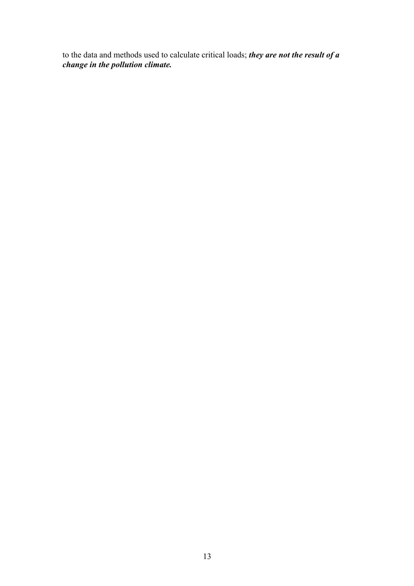to the data and methods used to calculate critical loads; *they are not the result of a change in the pollution climate.*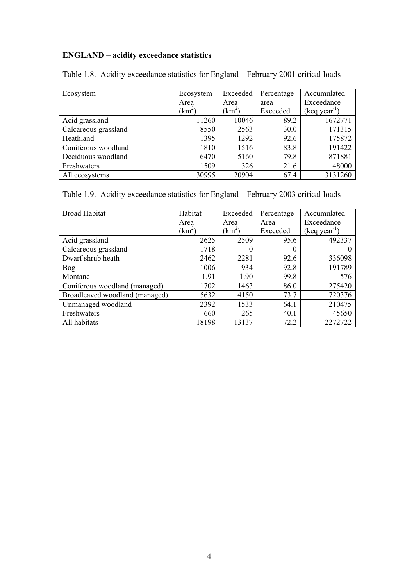# **ENGLAND – acidity exceedance statistics**

| Ecosystem            | Ecosystem  | Exceeded     | Percentage | Accumulated    |
|----------------------|------------|--------------|------------|----------------|
|                      | Area       | Area         | area       | Exceedance     |
|                      | $\rm km^2$ | $\rm km^2$ ) | Exceeded   | $(keq year-1)$ |
| Acid grassland       | 11260      | 10046        | 89.2       | 1672771        |
| Calcareous grassland | 8550       | 2563         | 30.0       | 171315         |
| Heathland            | 1395       | 1292         | 92.6       | 175872         |
| Coniferous woodland  | 1810       | 1516         | 83.8       | 191422         |
| Deciduous woodland   | 6470       | 5160         | 79.8       | 871881         |
| Freshwaters          | 1509       | 326          | 21.6       | 48000          |
| All ecosystems       | 30995      | 20904        | 67.4       | 3131260        |

Table 1.8. Acidity exceedance statistics for England – February 2001 critical loads

Table 1.9. Acidity exceedance statistics for England – February 2003 critical loads

| <b>Broad Habitat</b>           | Habitat    | Exceeded | Percentage | Accumulated    |
|--------------------------------|------------|----------|------------|----------------|
|                                | Area       | Area     | Area       | Exceedance     |
|                                | $\rm km^2$ | $(km^2)$ | Exceeded   | $(keq year-1)$ |
| Acid grassland                 | 2625       | 2509     | 95.6       | 492337         |
| Calcareous grassland           | 1718       | $\theta$ | 0          |                |
| Dwarf shrub heath              | 2462       | 2281     | 92.6       | 336098         |
| Bog                            | 1006       | 934      | 92.8       | 191789         |
| Montane                        | 1.91       | 1.90     | 99.8       | 576            |
| Coniferous woodland (managed)  | 1702       | 1463     | 86.0       | 275420         |
| Broadleaved woodland (managed) | 5632       | 4150     | 73.7       | 720376         |
| Unmanaged woodland             | 2392       | 1533     | 64.1       | 210475         |
| Freshwaters                    | 660        | 265      | 40.1       | 45650          |
| All habitats                   | 18198      | 13137    | 72.2       | 2272722        |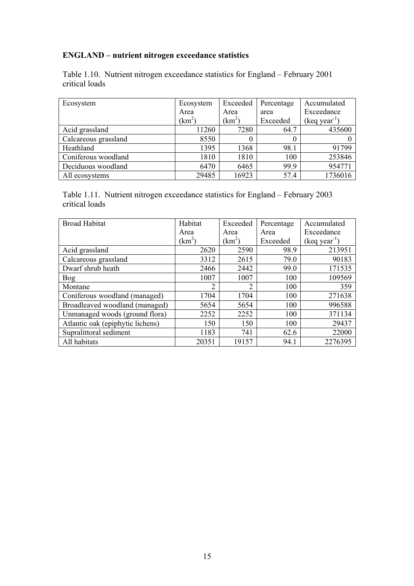# **ENGLAND – nutrient nitrogen exceedance statistics**

Table 1.10. Nutrient nitrogen exceedance statistics for England – February 2001 critical loads

| Ecosystem            | Ecosystem         | Exceeded     | Percentage | Accumulated    |
|----------------------|-------------------|--------------|------------|----------------|
|                      | Area              | Area         | area       | Exceedance     |
|                      | km <sup>2</sup> ) | $\rm km^2$ ) | Exceeded   | $(keq year-1)$ |
| Acid grassland       | 11260             | 7280         | 64.7       | 435600         |
| Calcareous grassland | 8550              | 0            |            |                |
| Heathland            | 1395              | 1368         | 98.1       | 91799          |
| Coniferous woodland  | 1810              | 1810         | 100        | 253846         |
| Deciduous woodland   | 6470              | 6465         | 99.9       | 954771         |
| All ecosystems       | 29485             | 16923        | 57.4       | 1736016        |

Table 1.11. Nutrient nitrogen exceedance statistics for England – February 2003 critical loads

| <b>Broad Habitat</b>             | Habitat        | Exceeded       | Percentage | Accumulated    |
|----------------------------------|----------------|----------------|------------|----------------|
|                                  | Area           | Area           | Area       | Exceedance     |
|                                  | $\rm km^2$     | $(km^2)$       | Exceeded   | $(keq year-1)$ |
| Acid grassland                   | 2620           | 2590           | 98.9       | 213951         |
| Calcareous grassland             | 3312           | 2615           | 79.0       | 90183          |
| Dwarf shrub heath                | 2466           | 2442           | 99.0       | 171535         |
| Bog                              | 1007           | 1007           | 100        | 109569         |
| Montane                          | $\overline{2}$ | $\overline{2}$ | 100        | 359            |
| Coniferous woodland (managed)    | 1704           | 1704           | 100        | 271638         |
| Broadleaved woodland (managed)   | 5654           | 5654           | 100        | 996588         |
| Unmanaged woods (ground flora)   | 2252           | 2252           | 100        | 371134         |
| Atlantic oak (epiphytic lichens) | 150            | 150            | 100        | 29437          |
| Supralittoral sediment           | 1183           | 741            | 62.6       | 22000          |
| All habitats                     | 20351          | 19157          | 94.1       | 2276395        |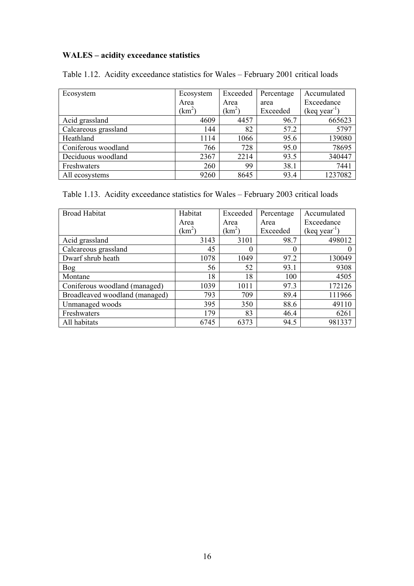# **WALES – acidity exceedance statistics**

|  | Table 1.12. Acidity exceedance statistics for Wales – February 2001 critical loads |  |  |  |  |
|--|------------------------------------------------------------------------------------|--|--|--|--|
|  |                                                                                    |  |  |  |  |

| Ecosystem            | Ecosystem     | Exceeded     | Percentage | Accumulated                    |
|----------------------|---------------|--------------|------------|--------------------------------|
|                      | Area          | Area         | area       | Exceedance                     |
|                      | $\text{km}^2$ | $\rm km^2$ ) | Exceeded   | $(\text{keq year}^{\text{T}})$ |
| Acid grassland       | 4609          | 4457         | 96.7       | 665623                         |
| Calcareous grassland | 144           | 82           | 57.2       | 5797                           |
| Heathland            | 1114          | 1066         | 95.6       | 139080                         |
| Coniferous woodland  | 766           | 728          | 95.0       | 78695                          |
| Deciduous woodland   | 2367          | 2214         | 93.5       | 340447                         |
| Freshwaters          | 260           | 99           | 38.1       | 7441                           |
| All ecosystems       | 9260          | 8645         | 93.4       | 1237082                        |

Table 1.13. Acidity exceedance statistics for Wales – February 2003 critical loads

| <b>Broad Habitat</b>           | Habitat    | Exceeded | Percentage | Accumulated    |
|--------------------------------|------------|----------|------------|----------------|
|                                | Area       | Area     | Area       | Exceedance     |
|                                | $\{km^2\}$ | $(km^2)$ | Exceeded   | $(keq year-1)$ |
| Acid grassland                 | 3143       | 3101     | 98.7       | 498012         |
| Calcareous grassland           | 45         | $\theta$ | 0          |                |
| Dwarf shrub heath              | 1078       | 1049     | 97.2       | 130049         |
| <b>Bog</b>                     | 56         | 52       | 93.1       | 9308           |
| Montane                        | 18         | 18       | 100        | 4505           |
| Coniferous woodland (managed)  | 1039       | 1011     | 97.3       | 172126         |
| Broadleaved woodland (managed) | 793        | 709      | 89.4       | 111966         |
| Unmanaged woods                | 395        | 350      | 88.6       | 49110          |
| Freshwaters                    | 179        | 83       | 46.4       | 6261           |
| All habitats                   | 6745       | 6373     | 94.5       | 981337         |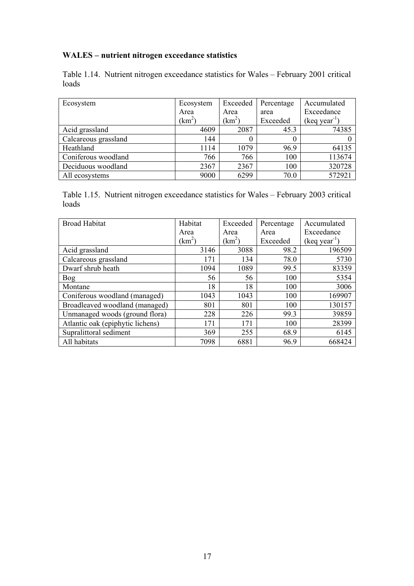# **WALES – nutrient nitrogen exceedance statistics**

Table 1.14. Nutrient nitrogen exceedance statistics for Wales – February 2001 critical loads

| Ecosystem            | Ecosystem       | Exceeded     | Percentage | Accumulated                  |
|----------------------|-----------------|--------------|------------|------------------------------|
|                      | Area            | Area         | area       | Exceedance                   |
|                      | $\mathrm{km}^2$ | $\rm km^2$ ) | Exceeded   | $($ keq year <sup>-1</sup> ) |
| Acid grassland       | 4609            | 2087         | 45.3       | 74385                        |
| Calcareous grassland | 144             | 0            |            |                              |
| Heathland            | 1114            | 1079         | 96.9       | 64135                        |
| Coniferous woodland  | 766             | 766          | 100        | 113674                       |
| Deciduous woodland   | 2367            | 2367         | 100        | 320728                       |
| All ecosystems       | 9000            | 6299         | 70.0       | 572921                       |

Table 1.15. Nutrient nitrogen exceedance statistics for Wales – February 2003 critical loads

| <b>Broad Habitat</b>             | Habitat | Exceeded     | Percentage | Accumulated           |
|----------------------------------|---------|--------------|------------|-----------------------|
|                                  | Area    | Area         | Area       | Exceedance            |
|                                  | $km^2$  | $\rm km^2$ ) | Exceeded   | $(\text{keq year}^1)$ |
| Acid grassland                   | 3146    | 3088         | 98.2       | 196509                |
| Calcareous grassland             | 171     | 134          | 78.0       | 5730                  |
| Dwarf shrub heath                | 1094    | 1089         | 99.5       | 83359                 |
| Bog                              | 56      | 56           | 100        | 5354                  |
| Montane                          | 18      | 18           | 100        | 3006                  |
| Coniferous woodland (managed)    | 1043    | 1043         | 100        | 169907                |
| Broadleaved woodland (managed)   | 801     | 801          | 100        | 130157                |
| Unmanaged woods (ground flora)   | 228     | 226          | 99.3       | 39859                 |
| Atlantic oak (epiphytic lichens) | 171     | 171          | 100        | 28399                 |
| Supralittoral sediment           | 369     | 255          | 68.9       | 6145                  |
| All habitats                     | 7098    | 6881         | 96.9       | 668424                |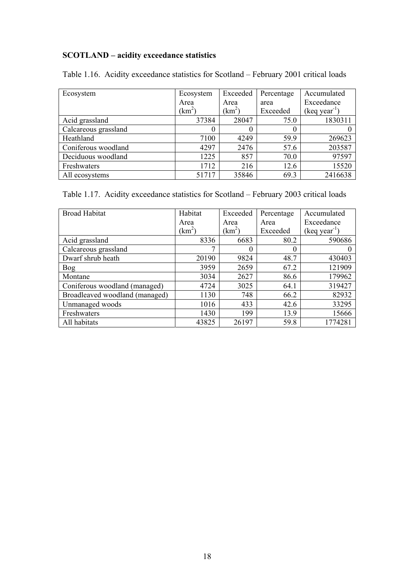# **SCOTLAND – acidity exceedance statistics**

| Ecosystem            | Ecosystem  | Exceeded     | Percentage | Accumulated                    |
|----------------------|------------|--------------|------------|--------------------------------|
|                      | Area       | Area         | area       | Exceedance                     |
|                      | $\rm km^2$ | $\rm km^2$ ) | Exceeded   | $(\text{keq year}^{\text{-}})$ |
| Acid grassland       | 37384      | 28047        | 75.0       | 1830311                        |
| Calcareous grassland | $\theta$   |              |            |                                |
| Heathland            | 7100       | 4249         | 59.9       | 269623                         |
| Coniferous woodland  | 4297       | 2476         | 57.6       | 203587                         |
| Deciduous woodland   | 1225       | 857          | 70.0       | 97597                          |
| Freshwaters          | 1712       | 216          | 12.6       | 15520                          |
| All ecosystems       | 51717      | 35846        | 69.3       | 2416638                        |

Table 1.16. Acidity exceedance statistics for Scotland – February 2001 critical loads

Table 1.17. Acidity exceedance statistics for Scotland – February 2003 critical loads

| <b>Broad Habitat</b>           | Habitat    | Exceeded           | Percentage | Accumulated               |
|--------------------------------|------------|--------------------|------------|---------------------------|
|                                | Area       | Area               | Area       | Exceedance                |
|                                | $\rm km^2$ | (km <sup>2</sup> ) | Exceeded   | (keq year <sup>-1</sup> ) |
| Acid grassland                 | 8336       | 6683               | 80.2       | 590686                    |
| Calcareous grassland           | ⇁          | $\theta$           | $\Omega$   |                           |
| Dwarf shrub heath              | 20190      | 9824               | 48.7       | 430403                    |
| <b>Bog</b>                     | 3959       | 2659               | 67.2       | 121909                    |
| Montane                        | 3034       | 2627               | 86.6       | 179962                    |
| Coniferous woodland (managed)  | 4724       | 3025               | 64.1       | 319427                    |
| Broadleaved woodland (managed) | 1130       | 748                | 66.2       | 82932                     |
| Unmanaged woods                | 1016       | 433                | 42.6       | 33295                     |
| Freshwaters                    | 1430       | 199                | 13.9       | 15666                     |
| All habitats                   | 43825      | 26197              | 59.8       | 1774281                   |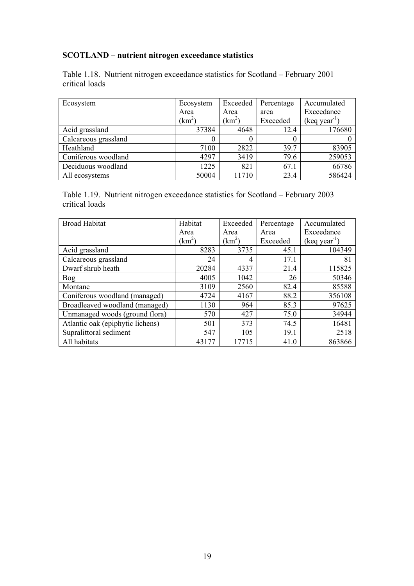# **SCOTLAND – nutrient nitrogen exceedance statistics**

Table 1.18. Nutrient nitrogen exceedance statistics for Scotland – February 2001 critical loads

| Ecosystem            | Ecosystem       | Exceeded     | Percentage | Accumulated    |
|----------------------|-----------------|--------------|------------|----------------|
|                      | Area            | Area         | area       | Exceedance     |
|                      | km <sup>2</sup> | $\rm km^2$ ) | Exceeded   | $(keq year-1)$ |
| Acid grassland       | 37384           | 4648         | 12.4       | 176680         |
| Calcareous grassland |                 |              |            |                |
| Heathland            | 7100            | 2822         | 39.7       | 83905          |
| Coniferous woodland  | 4297            | 3419         | 79.6       | 259053         |
| Deciduous woodland   | 1225            | 821          | 67.1       | 66786          |
| All ecosystems       | 50004           | 11710        | 23.4       | 586424         |

Table 1.19. Nutrient nitrogen exceedance statistics for Scotland – February 2003 critical loads

| <b>Broad Habitat</b>             | Habitat    | Exceeded       | Percentage | Accumulated    |
|----------------------------------|------------|----------------|------------|----------------|
|                                  | Area       | Area           | Area       | Exceedance     |
|                                  | $\rm km^2$ | $(km^2)$       | Exceeded   | $(keq year-1)$ |
| Acid grassland                   | 8283       | 3735           | 45.1       | 104349         |
| Calcareous grassland             | 24         | $\overline{4}$ | 17.1       | 81             |
| Dwarf shrub heath                | 20284      | 4337           | 21.4       | 115825         |
| <b>Bog</b>                       | 4005       | 1042           | 26         | 50346          |
| Montane                          | 3109       | 2560           | 82.4       | 85588          |
| Coniferous woodland (managed)    | 4724       | 4167           | 88.2       | 356108         |
| Broadleaved woodland (managed)   | 1130       | 964            | 85.3       | 97625          |
| Unmanaged woods (ground flora)   | 570        | 427            | 75.0       | 34944          |
| Atlantic oak (epiphytic lichens) | 501        | 373            | 74.5       | 16481          |
| Supralittoral sediment           | 547        | 105            | 19.1       | 2518           |
| All habitats                     | 43177      | 17715          | 41.0       | 863866         |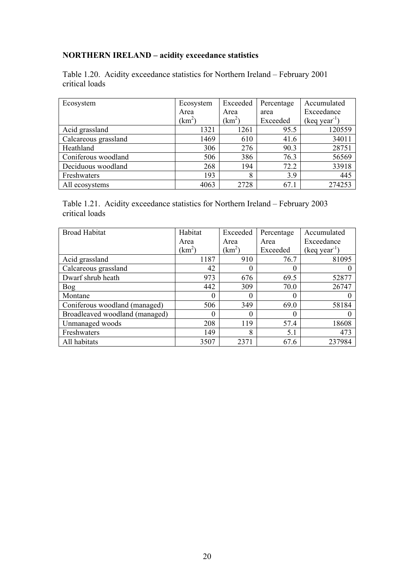# **NORTHERN IRELAND – acidity exceedance statistics**

Table 1.20. Acidity exceedance statistics for Northern Ireland – February 2001 critical loads

| Ecosystem            | Ecosystem    | Exceeded | Percentage | Accumulated           |
|----------------------|--------------|----------|------------|-----------------------|
|                      | Area         | Area     | area       | Exceedance            |
|                      | $\rm km^2$ ) | $km^2$   | Exceeded   | $(\text{keq year}^1)$ |
| Acid grassland       | 1321         | 1261     | 95.5       | 120559                |
| Calcareous grassland | 1469         | 610      | 41.6       | 34011                 |
| Heathland            | 306          | 276      | 90.3       | 28751                 |
| Coniferous woodland  | 506          | 386      | 76.3       | 56569                 |
| Deciduous woodland   | 268          | 194      | 72.2       | 33918                 |
| Freshwaters          | 193          | 8        | 3.9        | 445                   |
| All ecosystems       | 4063         | 2728     | 67.1       | 274253                |

Table 1.21. Acidity exceedance statistics for Northern Ireland – February 2003 critical loads

| <b>Broad Habitat</b>           | Habitat         | Exceeded     | Percentage | Accumulated               |
|--------------------------------|-----------------|--------------|------------|---------------------------|
|                                | Area            | Area         | Area       | Exceedance                |
|                                | km <sup>2</sup> | $\rm km^2$ ) | Exceeded   | (keq year <sup>-1</sup> ) |
| Acid grassland                 | 1187            | 910          | 76.7       | 81095                     |
| Calcareous grassland           | 42              | $\theta$     |            |                           |
| Dwarf shrub heath              | 973             | 676          | 69.5       | 52877                     |
| <b>Bog</b>                     | 442             | 309          | 70.0       | 26747                     |
| Montane                        | $\theta$        | $\theta$     |            |                           |
| Coniferous woodland (managed)  | 506             | 349          | 69.0       | 58184                     |
| Broadleaved woodland (managed) |                 | 0            |            |                           |
| Unmanaged woods                | 208             | 119          | 57.4       | 18608                     |
| Freshwaters                    | 149             | 8            | 5.1        | 473                       |
| All habitats                   | 3507            | 2371         | 67.6       | 237984                    |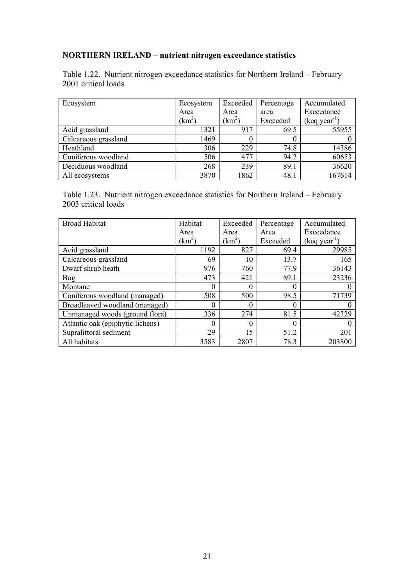# **NORTHERN IRELAND – nutrient nitrogen exceedance statistics**

Table 1.22. Nutrient nitrogen exceedance statistics for Northern Ireland – February 2001 critical loads

| Ecosystem            | Ecosystem     | Exceeded     | Percentage | Accumulated    |
|----------------------|---------------|--------------|------------|----------------|
|                      | Area          | Area         | area       | Exceedance     |
|                      | $\text{km}^2$ | $\rm km^2$ ) | Exceeded   | $(keq year-1)$ |
| Acid grassland       | 1321          | 917          | 69.5       | 55955          |
| Calcareous grassland | 1469          | 0            |            |                |
| Heathland            | 306           | 229          | 74.8       | 14386          |
| Coniferous woodland  | 506           | 477          | 94.2       | 60653          |
| Deciduous woodland   | 268           | 239          | 89.1       | 36620          |
| All ecosystems       | 3870          | 1862         | 48.1       | 167614         |

Table 1.23. Nutrient nitrogen exceedance statistics for Northern Ireland – February 2003 critical loads

| <b>Broad Habitat</b>             | Habitat    | Exceeded           | Percentage | Accumulated    |
|----------------------------------|------------|--------------------|------------|----------------|
|                                  | Area       | Area               | Area       | Exceedance     |
|                                  | $\{km^2\}$ | (km <sup>2</sup> ) | Exceeded   | $(keq year-1)$ |
| Acid grassland                   | 1192       | 827                | 69.4       | 29985          |
| Calcareous grassland             | 69         | 10                 | 13.7       | 165            |
| Dwarf shrub heath                | 976        | 760                | 77.9       | 36143          |
| Bog                              | 473        | 421                | 89.1       | 23236          |
| Montane                          | $\Omega$   | $\Omega$           | $\Omega$   |                |
| Coniferous woodland (managed)    | 508        | 500                | 98.5       | 71739          |
| Broadleaved woodland (managed)   | $\theta$   | 0                  | 0          |                |
| Unmanaged woods (ground flora)   | 336        | 274                | 81.5       | 42329          |
| Atlantic oak (epiphytic lichens) | $\Omega$   | $\theta$           |            |                |
| Supralittoral sediment           | 29         | 15                 | 51.2       | 201            |
| All habitats                     | 3583       | 2807               | 78.3       | 203800         |